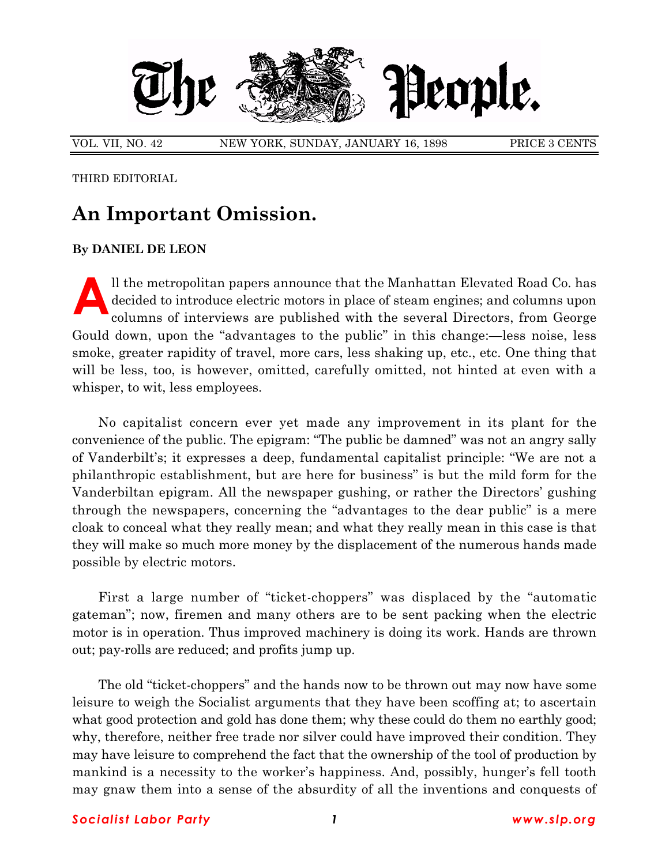

VOL. VII, NO. 42 NEW YORK, SUNDAY, JANUARY 16, 1898 PRICE 3 CENTS

THIRD EDITORIAL

## **An Important Omission.**

## **By DANIEL DE LEON**

Il the metropolitan papers announce that the Manhattan Elevated Road Co. has decided to introduce electric motors in place of steam engines; and columns upon columns of interviews are published with the several Directors, decided to introduce electric motors in place of steam engines; and columns upon columns of interviews are published with the several Directors, from George Gould down, upon the "advantages to the public" in this change:—less noise, less smoke, greater rapidity of travel, more cars, less shaking up, etc., etc. One thing that will be less, too, is however, omitted, carefully omitted, not hinted at even with a whisper, to wit, less employees.

No capitalist concern ever yet made any improvement in its plant for the convenience of the public. The epigram: "The public be damned" was not an angry sally of Vanderbilt's; it expresses a deep, fundamental capitalist principle: "We are not a philanthropic establishment, but are here for businessî is but the mild form for the Vanderbiltan epigram. All the newspaper gushing, or rather the Directors' gushing through the newspapers, concerning the "advantages to the dear public" is a mere cloak to conceal what they really mean; and what they really mean in this case is that they will make so much more money by the displacement of the numerous hands made possible by electric motors.

First a large number of "ticket-choppers" was displaced by the "automatic gatemanî; now, firemen and many others are to be sent packing when the electric motor is in operation. Thus improved machinery is doing its work. Hands are thrown out; pay-rolls are reduced; and profits jump up.

The old "ticket-choppers" and the hands now to be thrown out may now have some leisure to weigh the Socialist arguments that they have been scoffing at; to ascertain what good protection and gold has done them; why these could do them no earthly good; why, therefore, neither free trade nor silver could have improved their condition. They may have leisure to comprehend the fact that the ownership of the tool of production by mankind is a necessity to the worker's happiness. And, possibly, hunger's fell tooth may gnaw them into a sense of the absurdity of all the inventions and conquests of

## *Socialist Labor Party 1 www.slp.org*